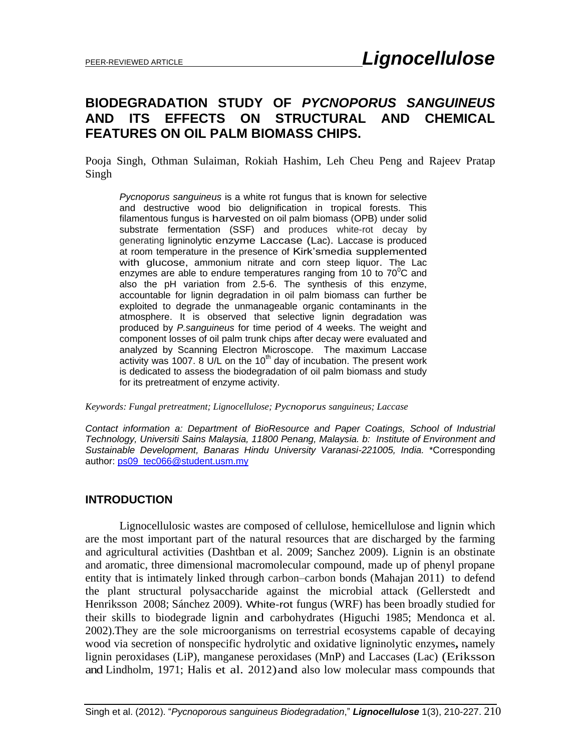# **BIODEGRADATION STUDY OF** *PYCNOPORUS SANGUINEUS* **AND ITS EFFECTS ON STRUCTURAL AND CHEMICAL FEATURES ON OIL PALM BIOMASS CHIPS.**

Pooja Singh, Othman Sulaiman, Rokiah Hashim, Leh Cheu Peng and Rajeev Pratap Singh

*Pycnoporus sanguineus* is a white rot fungus that is known for selective and destructive wood bio delignification in tropical forests. This filamentous fungus is harvested on oil palm biomass (OPB) under solid substrate fermentation (SSF) and produces white-rot decay by generating ligninolytic enzyme Laccase (Lac). Laccase is produced at room temperature in the presence of Kirk'smedia supplemented with glucose, ammonium nitrate and corn steep liquor. The Lac enzymes are able to endure temperatures ranging from 10 to  $70^{\circ}$ C and also the pH variation from 2.5-6. The synthesis of this enzyme, accountable for lignin degradation in oil palm biomass can further be exploited to degrade the unmanageable organic contaminants in the atmosphere. It is observed that selective lignin degradation was produced by *P.sanguineus* for time period of 4 weeks. The weight and component losses of oil palm trunk chips after decay were evaluated and analyzed by Scanning Electron Microscope. The maximum Laccase activity was 1007. 8 U/L on the 10<sup>th</sup> day of incubation. The present work is dedicated to assess the biodegradation of oil palm biomass and study for its pretreatment of enzyme activity.

*Keywords: Fungal pretreatment; Lignocellulose; Pycnoporus sanguineus; Laccase*

*Contact information a: Department of BioResource and Paper Coatings, School of Industrial Technology, Universiti Sains Malaysia, 11800 Penang, Malaysia. b: Institute of Environment and Sustainable Development, Banaras Hindu University Varanasi-221005, India.* \*Corresponding author: [ps09\\_tec066@student.usm.my](mailto:ps09_tec066@student.usm.my)

#### **INTRODUCTION**

Lignocellulosic wastes are composed of cellulose, hemicellulose and lignin which are the most important part of the natural resources that are discharged by the farming and agricultural activities (Dashtban et al. 2009; Sanchez 2009). Lignin is an obstinate and aromatic, three dimensional macromolecular compound, made up of phenyl propane entity that is intimately linked through carbon–carbon bonds (Mahajan 2011) to defend the plant structural polysaccharide against the microbial attack (Gellerstedt and Henriksson 2008; Sánchez 2009). White-rot fungus (WRF) has been broadly studied for their skills to biodegrade lignin and carbohydrates (Higuchi 1985; Mendonca et al. 2002).They are the sole microorganisms on terrestrial ecosystems capable of decaying wood via secretion of nonspecific hydrolytic and oxidative ligninolytic enzymes**,** namely lignin peroxidases (LiP), manganese peroxidases (MnP) and Laccases (Lac) (Eriksson and Lindholm, 1971; Halis et al. 2012)and also low molecular mass compounds that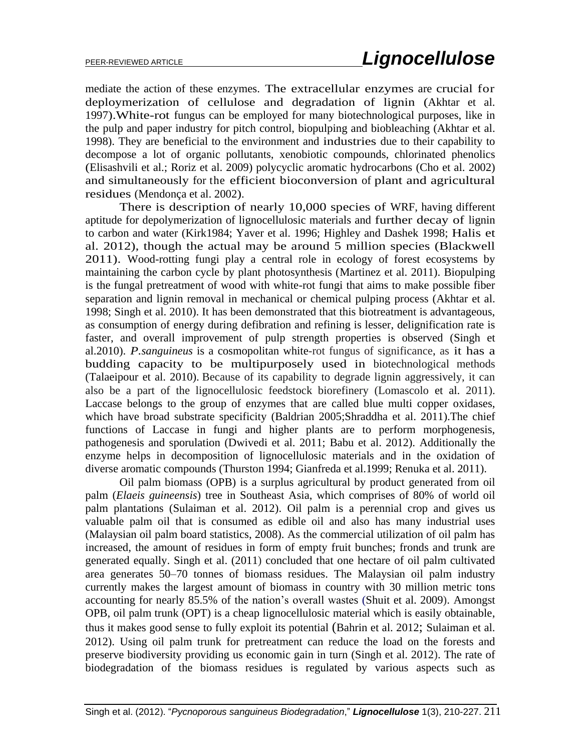mediate the action of these enzymes. The extracellular enzymes are crucial for deploymerization of cellulose and degradation of lignin (Akhtar et al. 1997).White-rot fungus can be employed for many biotechnological purposes, like in the pulp and paper industry for pitch control, biopulping and biobleaching (Akhtar et al. 1998). They are beneficial to the environment and industries due to their capability to decompose a lot of organic pollutants, xenobiotic compounds, chlorinated phenolics (Elisashvili et al.; Roriz et al. 2009) polycyclic aromatic hydrocarbons (Cho et al. 2002) and simultaneously for the efficient bioconversion of plant and agricultural residues (Mendonça et al. 2002).

There is description of nearly 10,000 species of WRF, having different aptitude for depolymerization of lignocellulosic materials and further decay of lignin to carbon and water (Kirk1984; Yaver et al. 1996; Highley and Dashek 1998; Halis et al. 2012), though the actual may be around 5 million species (Blackwell 2011). Wood-rotting fungi play a central role in ecology of forest ecosystems by maintaining the carbon cycle by plant photosynthesis (Martinez et al. 2011). Biopulping is the fungal pretreatment of wood with white-rot fungi that aims to make possible fiber separation and lignin removal in mechanical or chemical pulping process (Akhtar et al. 1998; Singh et al. 2010). It has been demonstrated that this biotreatment is advantageous, as consumption of energy during defibration and refining is lesser, delignification rate is faster, and overall improvement of pulp strength properties is observed (Singh et al.2010). *P.sanguineus* is a cosmopolitan white-rot fungus of significance, as it has a budding capacity to be multipurposely used in biotechnological methods (Talaeipour et al. 2010). Because of its capability to degrade lignin aggressively, it can also be a part of the lignocellulosic feedstock biorefinery (Lomascolo et al. 2011). Laccase belongs to the group of enzymes that are called blue multi copper oxidases, which have broad substrate specificity (Baldrian 2005;Shraddha et al. 2011).The chief functions of Laccase in fungi and higher plants are to perform morphogenesis, pathogenesis and sporulation (Dwivedi et al. 2011; Babu et al. 2012). Additionally the enzyme helps in decomposition of lignocellulosic materials and in the oxidation of diverse aromatic compounds (Thurston 1994; Gianfreda et al.1999; Renuka et al. 2011).

Oil palm biomass (OPB) is a surplus agricultural by product generated from oil palm (*Elaeis guineensis*) tree in Southeast Asia, which comprises of 80% of world oil palm plantations (Sulaiman et al. 2012). Oil palm is a perennial crop and gives us valuable palm oil that is consumed as edible oil and also has many industrial uses (Malaysian oil palm board statistics, 2008). As the commercial utilization of oil palm has increased, the amount of residues in form of empty fruit bunches; fronds and trunk are generated equally. Singh et al. (2011) concluded that one hectare of oil palm cultivated area generates 50–70 tonnes of biomass residues. The Malaysian oil palm industry currently makes the largest amount of biomass in country with 30 million metric tons accounting for nearly 85.5% of the nation's overall wastes (Shuit et al. 2009). Amongst OPB, oil palm trunk (OPT) is a cheap lignocellulosic material which is easily obtainable, thus it makes good sense to fully exploit its potential (Bahrin et al. 2012; Sulaiman et al. 2012). Using oil palm trunk for pretreatment can reduce the load on the forests and preserve biodiversity providing us economic gain in turn (Singh et al. 2012). The rate of biodegradation of the biomass residues is regulated by various aspects such as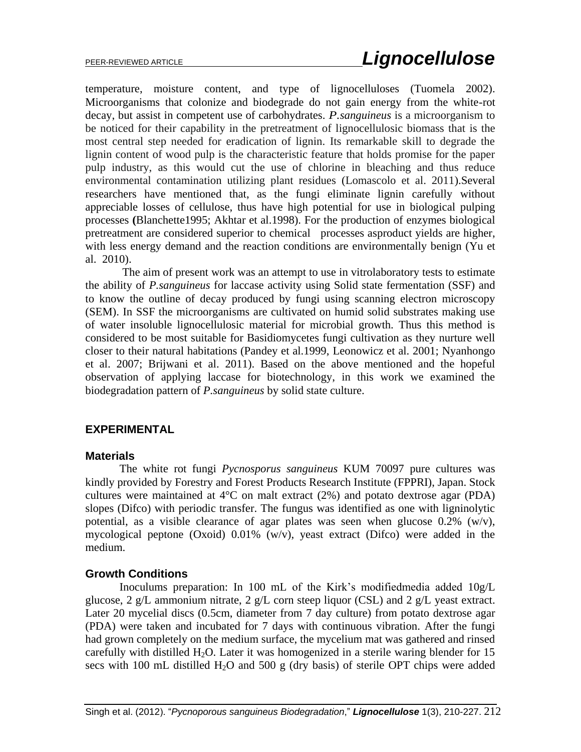temperature, moisture content, and type of lignocelluloses (Tuomela 2002). Microorganisms that colonize and biodegrade do not gain energy from the white-rot decay, but assist in competent use of carbohydrates. *P.sanguineus* is a microorganism to be noticed for their capability in the pretreatment of lignocellulosic biomass that is the most central step needed for eradication of lignin. Its remarkable skill to degrade the lignin content of wood pulp is the characteristic feature that holds promise for the paper pulp industry, as this would cut the use of chlorine in bleaching and thus reduce environmental contamination utilizing plant residues (Lomascolo et al. 2011).Several researchers have mentioned that, as the fungi eliminate lignin carefully without appreciable losses of cellulose, thus have high potential for use in biological pulping processes **(**Blanchette1995; Akhtar et al.1998). For the production of enzymes biological pretreatment are considered superior to chemical processes asproduct yields are higher, with less energy demand and the reaction conditions are environmentally benign (Yu et al. 2010).

The aim of present work was an attempt to use in vitrolaboratory tests to estimate the ability of *P.sanguineus* for laccase activity using Solid state fermentation (SSF) and to know the outline of decay produced by fungi using scanning electron microscopy (SEM). In SSF the microorganisms are cultivated on humid solid substrates making use of water insoluble lignocellulosic material for microbial growth. Thus this method is considered to be most suitable for Basidiomycetes fungi cultivation as they nurture well closer to their natural habitations (Pandey et al.1999, Leonowicz et al. 2001; Nyanhongo et al. 2007; Brijwani et al. 2011). Based on the above mentioned and the hopeful observation of applying laccase for biotechnology, in this work we examined the biodegradation pattern of *P.sanguineus* by solid state culture.

## **EXPERIMENTAL**

#### **Materials**

The white rot fungi *Pycnosporus sanguineus* KUM 70097 pure cultures was kindly provided by Forestry and Forest Products Research Institute (FPPRI), Japan. Stock cultures were maintained at  $4^{\circ}$ C on malt extract (2%) and potato dextrose agar (PDA) slopes (Difco) with periodic transfer. The fungus was identified as one with ligninolytic potential, as a visible clearance of agar plates was seen when glucose  $0.2\%$  (w/v), mycological peptone (Oxoid) 0.01% (w/v), yeast extract (Difco) were added in the medium.

#### **Growth Conditions**

Inoculums preparation: In 100 mL of the Kirk's modifiedmedia added 10g/L glucose, 2 g/L ammonium nitrate, 2 g/L corn steep liquor (CSL) and 2 g/L yeast extract. Later 20 mycelial discs (0.5cm, diameter from 7 day culture) from potato dextrose agar (PDA) were taken and incubated for 7 days with continuous vibration. After the fungi had grown completely on the medium surface, the mycelium mat was gathered and rinsed carefully with distilled  $H_2O$ . Later it was homogenized in a sterile waring blender for 15 secs with 100 mL distilled  $H_2O$  and 500 g (dry basis) of sterile OPT chips were added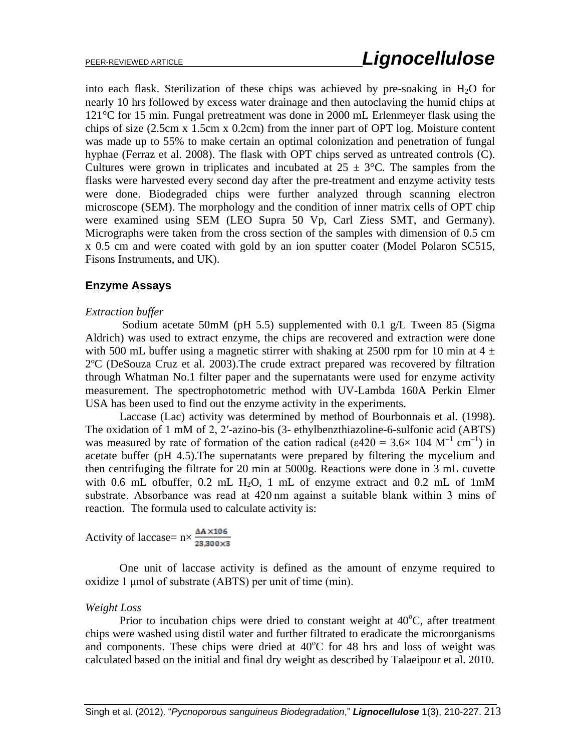into each flask. Sterilization of these chips was achieved by pre-soaking in  $H_2O$  for nearly 10 hrs followed by excess water drainage and then autoclaving the humid chips at 121°C for 15 min. Fungal pretreatment was done in 2000 mL Erlenmeyer flask using the chips of size (2.5cm x 1.5cm x 0.2cm) from the inner part of OPT log. Moisture content was made up to 55% to make certain an optimal colonization and penetration of fungal hyphae (Ferraz et al. 2008). The flask with OPT chips served as untreated controls (C). Cultures were grown in triplicates and incubated at  $25 \pm 3$ °C. The samples from the flasks were harvested every second day after the pre-treatment and enzyme activity tests were done. Biodegraded chips were further analyzed through scanning electron microscope (SEM). The morphology and the condition of inner matrix cells of OPT chip were examined using SEM (LEO Supra 50 Vp, Carl Ziess SMT, and Germany). Micrographs were taken from the cross section of the samples with dimension of 0.5 cm x 0.5 cm and were coated with gold by an ion sputter coater (Model Polaron SC515, Fisons Instruments, and UK).

### **Enzyme Assays**

#### *Extraction buffer*

Sodium acetate 50mM (pH 5.5) supplemented with 0.1  $g/L$  Tween 85 (Sigma Aldrich) was used to extract enzyme, the chips are recovered and extraction were done with 500 mL buffer using a magnetic stirrer with shaking at 2500 rpm for 10 min at  $4 \pm$ 2ºC (DeSouza Cruz et al. 2003).The crude extract prepared was recovered by filtration through Whatman No.1 filter paper and the supernatants were used for enzyme activity measurement. The spectrophotometric method with UV-Lambda 160A Perkin Elmer USA has been used to find out the enzyme activity in the experiments.

Laccase (Lac) activity was determined by method of Bourbonnais et al. (1998). The oxidation of 1 mM of 2, 2′-azino-bis (3- ethylbenzthiazoline-6-sulfonic acid (ABTS) was measured by rate of formation of the cation radical ( $\varepsilon$ 420 = 3.6 × 104 M<sup>-1</sup> cm<sup>-1</sup>) in acetate buffer (pH 4.5).The supernatants were prepared by filtering the mycelium and then centrifuging the filtrate for 20 min at 5000g. Reactions were done in 3 mL cuvette with 0.6 mL ofbuffer, 0.2 mL H<sub>2</sub>O, 1 mL of enzyme extract and 0.2 mL of 1mM substrate. Absorbance was read at 420 nm against a suitable blank within 3 mins of reaction. The formula used to calculate activity is:

Activity of laccase=  $n \times \frac{\Delta A \times 106}{23,300 \times 3}$ 

One unit of laccase activity is defined as the amount of enzyme required to oxidize 1 μmol of substrate (ABTS) per unit of time (min).

#### *Weight Loss*

Prior to incubation chips were dried to constant weight at  $40^{\circ}$ C, after treatment chips were washed using distil water and further filtrated to eradicate the microorganisms and components. These chips were dried at  $40^{\circ}$ C for 48 hrs and loss of weight was calculated based on the initial and final dry weight as described by Talaeipour et al. 2010.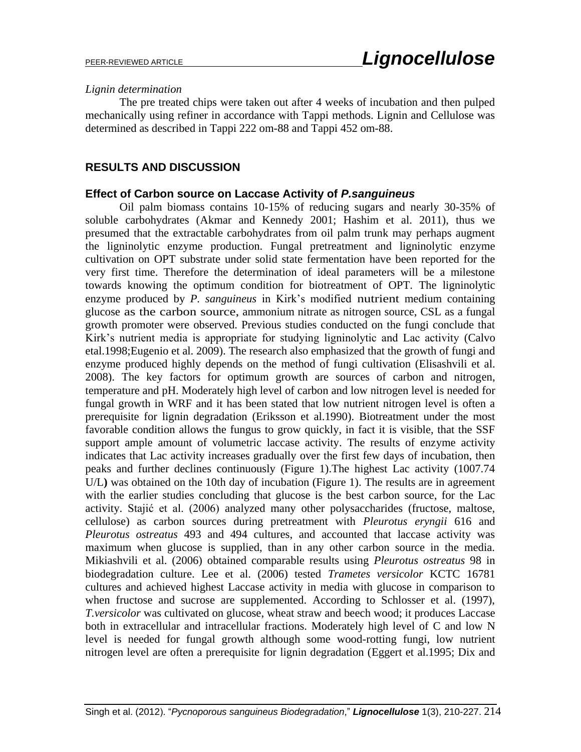#### *Lignin determination*

The pre treated chips were taken out after 4 weeks of incubation and then pulped mechanically using refiner in accordance with Tappi methods. Lignin and Cellulose was determined as described in Tappi 222 om-88 and Tappi 452 om-88.

### **RESULTS AND DISCUSSION**

#### **Effect of Carbon source on Laccase Activity of** *P.sanguineus*

Oil palm biomass contains 10-15% of reducing sugars and nearly 30-35% of soluble carbohydrates (Akmar and Kennedy 2001; Hashim et al. 2011), thus we presumed that the extractable carbohydrates from oil palm trunk may perhaps augment the ligninolytic enzyme production. Fungal pretreatment and ligninolytic enzyme cultivation on OPT substrate under solid state fermentation have been reported for the very first time. Therefore the determination of ideal parameters will be a milestone towards knowing the optimum condition for biotreatment of OPT. The ligninolytic enzyme produced by *P. sanguineus* in Kirk's modified nutrient medium containing glucose as the carbon source, ammonium nitrate as nitrogen source, CSL as a fungal growth promoter were observed. Previous studies conducted on the fungi conclude that Kirk's nutrient media is appropriate for studying ligninolytic and Lac activity (Calvo etal.1998;Eugenio et al. 2009). The research also emphasized that the growth of fungi and enzyme produced highly depends on the method of fungi cultivation (Elisashvili et al. 2008). The key factors for optimum growth are sources of carbon and nitrogen, temperature and pH. Moderately high level of carbon and low nitrogen level is needed for fungal growth in WRF and it has been stated that low nutrient nitrogen level is often a prerequisite for lignin degradation (Eriksson et al.1990). Biotreatment under the most favorable condition allows the fungus to grow quickly, in fact it is visible, that the SSF support ample amount of volumetric laccase activity. The results of enzyme activity indicates that Lac activity increases gradually over the first few days of incubation, then peaks and further declines continuously (Figure 1).The highest Lac activity (1007.74 U/L**)** was obtained on the 10th day of incubation (Figure 1). The results are in agreement with the earlier studies concluding that glucose is the best carbon source, for the Lac activity. Stajić et al. (2006) analyzed many other polysaccharides (fructose, maltose, cellulose) as carbon sources during pretreatment with *Pleurotus eryngii* 616 and *Pleurotus ostreatus* 493 and 494 cultures, and accounted that laccase activity was maximum when glucose is supplied, than in any other carbon source in the media. Mikiashvili et al. (2006) obtained comparable results using *Pleurotus ostreatus* 98 in biodegradation culture. Lee et al. (2006) tested *Trametes versicolor* KCTC 16781 cultures and achieved highest Laccase activity in media with glucose in comparison to when fructose and sucrose are supplemented. According to Schlosser et al. (1997), *T.versicolor* was cultivated on glucose, wheat straw and beech wood; it produces Laccase both in extracellular and intracellular fractions. Moderately high level of C and low N level is needed for fungal growth although some wood-rotting fungi, low nutrient nitrogen level are often a prerequisite for lignin degradation (Eggert et al.1995; Dix and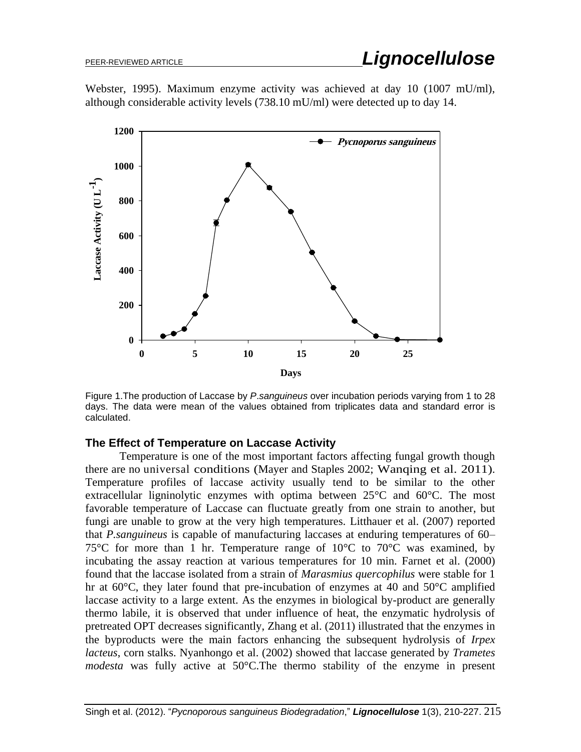Webster, 1995). Maximum enzyme activity was achieved at day 10 (1007 mU/ml), although considerable activity levels (738.10 mU/ml) were detected up to day 14.



Figure 1.The production of Laccase by *P*.*sanguineus* over incubation periods varying from 1 to 28 days. The data were mean of the values obtained from triplicates data and standard error is calculated.

#### **The Effect of Temperature on Laccase Activity**

Temperature is one of the most important factors affecting fungal growth though there are no universal conditions (Mayer and Staples 2002; Wanqing et al. 2011). Temperature profiles of laccase activity usually tend to be similar to the other extracellular ligninolytic enzymes with optima between  $25^{\circ}$ C and  $60^{\circ}$ C. The most favorable temperature of Laccase can fluctuate greatly from one strain to another, but fungi are unable to grow at the very high temperatures. Litthauer et al. (2007) reported that *P.sanguineus* is capable of manufacturing laccases at enduring temperatures of 60– 75 $\degree$ C for more than 1 hr. Temperature range of 10 $\degree$ C to 70 $\degree$ C was examined, by incubating the assay reaction at various temperatures for 10 min. Farnet et al. (2000) found that the laccase isolated from a strain of *Marasmius quercophilus* were stable for 1 hr at 60°C, they later found that pre-incubation of enzymes at 40 and 50°C amplified laccase activity to a large extent. As the enzymes in biological by-product are generally thermo labile, it is observed that under influence of heat, the enzymatic hydrolysis of pretreated OPT decreases significantly, Zhang et al. (2011) illustrated that the enzymes in the byproducts were the main factors enhancing the subsequent hydrolysis of *Irpex lacteus*, corn stalks. Nyanhongo et al. (2002) showed that laccase generated by *Trametes modesta* was fully active at 50°C.The thermo stability of the enzyme in present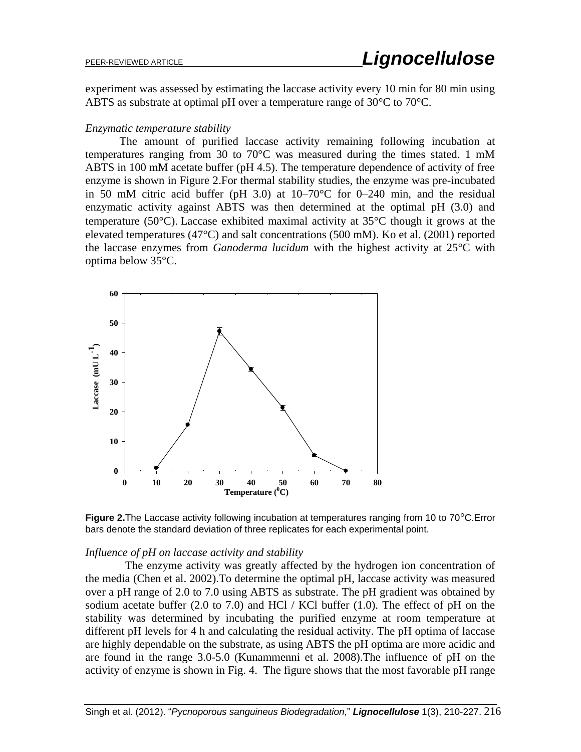experiment was assessed by estimating the laccase activity every 10 min for 80 min using ABTS as substrate at optimal pH over a temperature range of 30°C to 70°C.

#### *Enzymatic temperature stability*

The amount of purified laccase activity remaining following incubation at temperatures ranging from 30 to  $70^{\circ}$ C was measured during the times stated. 1 mM ABTS in 100 mM acetate buffer (pH 4.5). The temperature dependence of activity of free enzyme is shown in Figure 2.For thermal stability studies, the enzyme was pre-incubated in 50 mM citric acid buffer (pH 3.0) at 10–70°C for 0–240 min, and the residual enzymatic activity against ABTS was then determined at the optimal pH (3.0) and temperature (50°C). Laccase exhibited maximal activity at 35°C though it grows at the elevated temperatures (47°C) and salt concentrations (500 mM). Ko et al. (2001) reported the laccase enzymes from *Ganoderma lucidum* with the highest activity at 25°C with optima below 35°C.



**Figure 2.**The Laccase activity following incubation at temperatures ranging from 10 to 70°C.Error bars denote the standard deviation of three replicates for each experimental point.

#### *Influence of pH on laccase activity and stability*

 The enzyme activity was greatly affected by the hydrogen ion concentration of the media (Chen et al. 2002).To determine the optimal pH, laccase activity was measured over a pH range of 2.0 to 7.0 using ABTS as substrate. The pH gradient was obtained by sodium acetate buffer (2.0 to 7.0) and HCl / KCl buffer (1.0). The effect of pH on the stability was determined by incubating the purified enzyme at room temperature at different pH levels for 4 h and calculating the residual activity. The pH optima of laccase are highly dependable on the substrate, as using ABTS the pH optima are more acidic and are found in the range 3.0-5.0 (Kunammenni et al. 2008).The influence of pH on the activity of enzyme is shown in Fig. 4. The figure shows that the most favorable pH range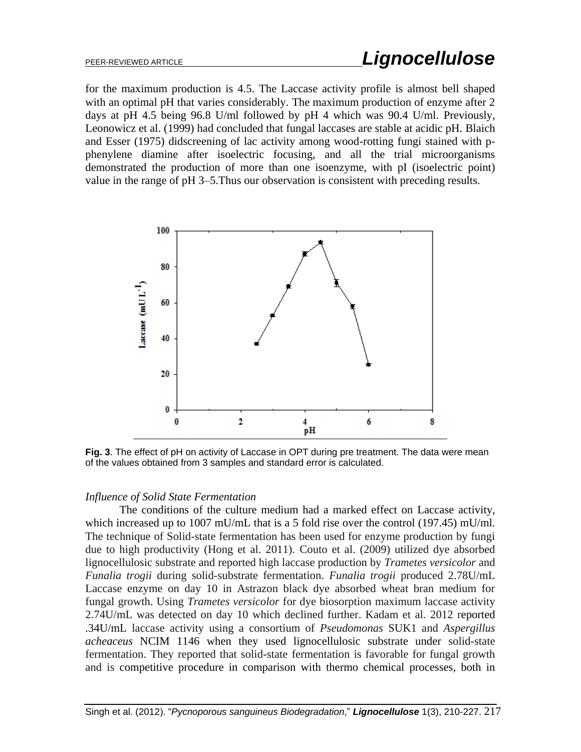for the maximum production is 4.5. The Laccase activity profile is almost bell shaped with an optimal pH that varies considerably. The maximum production of enzyme after 2 days at pH 4.5 being 96.8 U/ml followed by pH 4 which was 90.4 U/ml. Previously, Leonowicz et al. (1999) had concluded that fungal laccases are stable at acidic pH. Blaich and Esser (1975) didscreening of lac activity among wood-rotting fungi stained with pphenylene diamine after isoelectric focusing, and all the trial microorganisms demonstrated the production of more than one isoenzyme, with pI (isoelectric point) value in the range of pH 3–5.Thus our observation is consistent with preceding results.



**Fig. 3**. The effect of pH on activity of Laccase in OPT during pre treatment. The data were mean of the values obtained from 3 samples and standard error is calculated.

#### *Influence of Solid State Fermentation*

The conditions of the culture medium had a marked effect on Laccase activity, which increased up to 1007 mU/mL that is a 5 fold rise over the control (197.45) mU/ml. The technique of Solid-state fermentation has been used for enzyme production by fungi due to high productivity (Hong et al. 2011). Couto et al. (2009) utilized dye absorbed lignocellulosic substrate and reported high laccase production by *Trametes versicolor* and *Funalia trogii* during solid-substrate fermentation. *Funalia trogii* produced 2.78U/mL Laccase enzyme on day 10 in Astrazon black dye absorbed wheat bran medium for fungal growth. Using *Trametes versicolor* for dye biosorption maximum laccase activity 2.74U/mL was detected on day 10 which declined further. Kadam et al. 2012 reported .34U/mL laccase activity using a consortium of *Pseudomonas* SUK1 and *Aspergillus acheaceus* NCIM 1146 when they used lignocellulosic substrate under solid-state fermentation. They reported that solid-state fermentation is favorable for fungal growth and is competitive procedure in comparison with thermo chemical processes, both in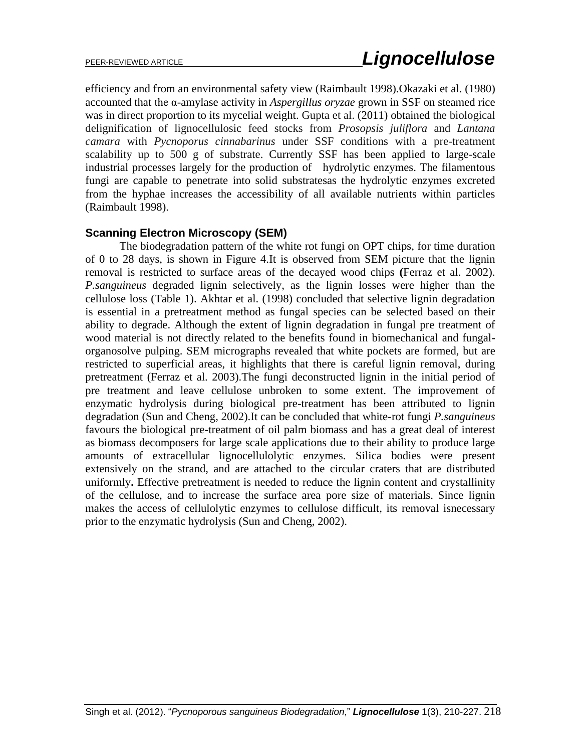efficiency and from an environmental safety view (Raimbault 1998).Okazaki et al. (1980) accounted that the α-amylase activity in *Aspergillus oryzae* grown in SSF on steamed rice was in direct proportion to its mycelial weight. Gupta et al. (2011) obtained the biological delignification of lignocellulosic feed stocks from *Prosopsis juliflora* and *Lantana camara* with *Pycnoporus cinnabarinus* under SSF conditions with a pre-treatment scalability up to 500 g of substrate. Currently SSF has been applied to large-scale industrial processes largely for the production of hydrolytic enzymes. The filamentous fungi are capable to penetrate into solid substratesas the hydrolytic enzymes excreted from the hyphae increases the accessibility of all available nutrients within particles (Raimbault 1998).

#### **Scanning Electron Microscopy (SEM)**

The biodegradation pattern of the white rot fungi on OPT chips, for time duration of 0 to 28 days, is shown in Figure 4.It is observed from SEM picture that the lignin removal is restricted to surface areas of the decayed wood chips **(**Ferraz et al. 2002). *P.sanguineus* degraded lignin selectively, as the lignin losses were higher than the cellulose loss (Table 1). Akhtar et al. (1998) concluded that selective lignin degradation is essential in a pretreatment method as fungal species can be selected based on their ability to degrade. Although the extent of lignin degradation in fungal pre treatment of wood material is not directly related to the benefits found in biomechanical and fungalorganosolve pulping. SEM micrographs revealed that white pockets are formed, but are restricted to superficial areas, it highlights that there is careful lignin removal, during pretreatment (Ferraz et al. 2003).The fungi deconstructed lignin in the initial period of pre treatment and leave cellulose unbroken to some extent. The improvement of enzymatic hydrolysis during biological pre-treatment has been attributed to lignin degradation (Sun and Cheng, 2002).It can be concluded that white-rot fungi *P.sanguineus* favours the biological pre-treatment of oil palm biomass and has a great deal of interest as biomass decomposers for large scale applications due to their ability to produce large amounts of extracellular lignocellulolytic enzymes. Silica bodies were present extensively on the strand, and are attached to the circular craters that are distributed uniformly**.** Effective pretreatment is needed to reduce the lignin content and crystallinity of the cellulose, and to increase the surface area pore size of materials. Since lignin makes the access of cellulolytic enzymes to cellulose difficult, its removal isnecessary prior to the enzymatic hydrolysis (Sun and Cheng, 2002).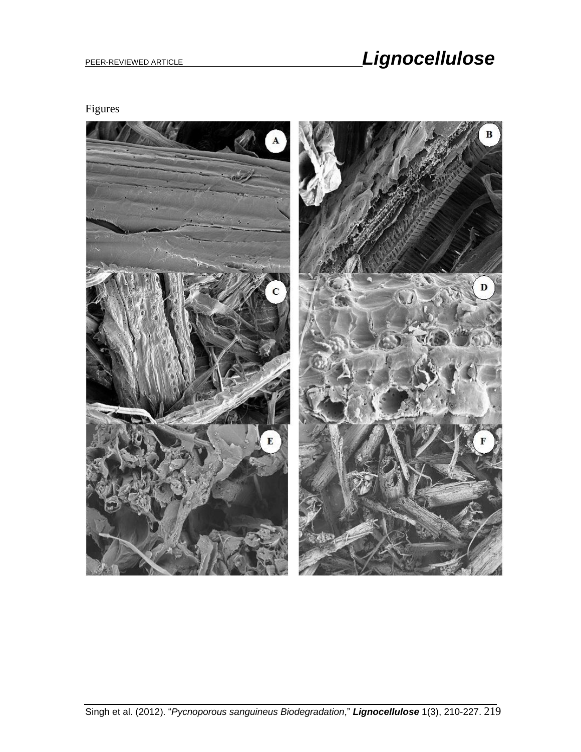# PEER-REVIEWED ARTICLE **And Contract Contract Contract Contract Contract Contract Contract Contract Contract Contract Contract Contract Contract Contract Contract Contract Contract Contract Contract Contract Contract Contra**

Figures

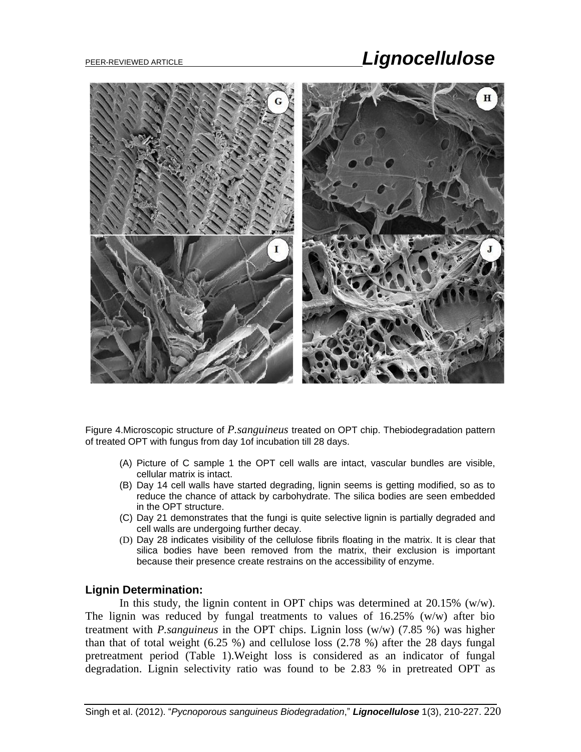# PEER-REVIEWED ARTICLE *Lignocellulose*



Figure 4.Microscopic structure of *P.sanguineus* treated on OPT chip. Thebiodegradation pattern of treated OPT with fungus from day 1of incubation till 28 days.

- (A) Picture of C sample 1 the OPT cell walls are intact, vascular bundles are visible, cellular matrix is intact.
- (B) Day 14 cell walls have started degrading, lignin seems is getting modified, so as to reduce the chance of attack by carbohydrate. The silica bodies are seen embedded in the OPT structure.
- (C) Day 21 demonstrates that the fungi is quite selective lignin is partially degraded and cell walls are undergoing further decay.
- (D) Day 28 indicates visibility of the cellulose fibrils floating in the matrix. It is clear that silica bodies have been removed from the matrix, their exclusion is important because their presence create restrains on the accessibility of enzyme.

#### **Lignin Determination:**

In this study, the lignin content in OPT chips was determined at 20.15% (w/w). The lignin was reduced by fungal treatments to values of  $16.25\%$  (w/w) after bio treatment with *P.sanguineus* in the OPT chips. Lignin loss (w/w) (7.85 %) was higher than that of total weight (6.25 %) and cellulose loss (2.78 %) after the 28 days fungal pretreatment period (Table 1).Weight loss is considered as an indicator of fungal degradation. Lignin selectivity ratio was found to be 2.83 % in pretreated OPT as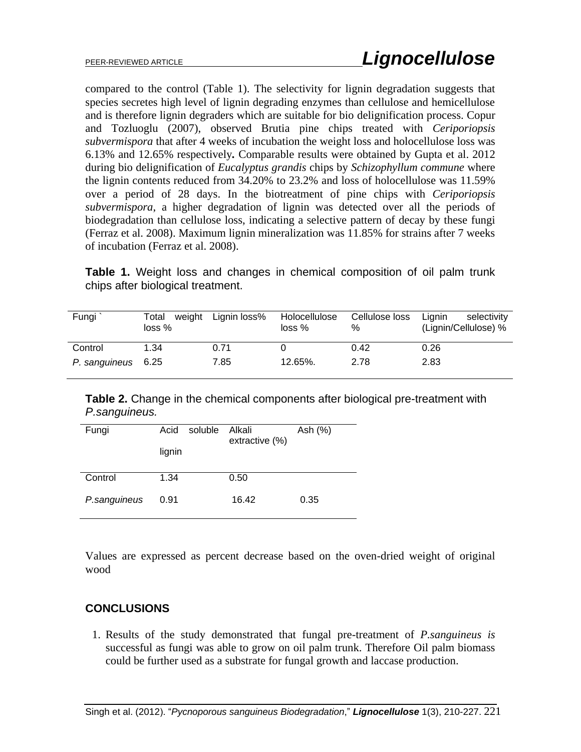compared to the control (Table 1). The selectivity for lignin degradation suggests that species secretes high level of lignin degrading enzymes than cellulose and hemicellulose and is therefore lignin degraders which are suitable for bio delignification process. Copur and Tozluoglu (2007), observed Brutia pine chips treated with *Ceriporiopsis subvermispora* that after 4 weeks of incubation the weight loss and holocellulose loss was 6.13% and 12.65% respectively*.* Comparable results were obtained by Gupta et al. 2012 during bio delignification of *Eucalyptus grandis* chips by *Schizophyllum commune* where the lignin contents reduced from 34.20% to 23.2% and loss of holocellulose was 11.59% over a period of 28 days. In the biotreatment of pine chips with *Ceriporiopsis subvermispora*, a higher degradation of lignin was detected over all the periods of biodegradation than cellulose loss, indicating a selective pattern of decay by these fungi (Ferraz et al. 2008). Maximum lignin mineralization was 11.85% for strains after 7 weeks of incubation (Ferraz et al. 2008).

**Table 1.** Weight loss and changes in chemical composition of oil palm trunk chips after biological treatment.

| Fungi              | weight<br>Total<br>loss <sub>%</sub> | Lignin loss% | Holocellulose<br>loss <sub>%</sub> | Cellulose loss<br>% | Lignin<br>selectivity<br>(Lignin/Cellulose) % |
|--------------------|--------------------------------------|--------------|------------------------------------|---------------------|-----------------------------------------------|
| Control            | 1.34                                 | 0.71         |                                    | 0.42                | 0.26                                          |
| P. sanguineus 6.25 |                                      | 7.85         | 12.65%.                            | 2.78                | 2.83                                          |

**Table 2.** Change in the chemical components after biological pre-treatment with *P.sanguineus.*

| Fungi        | Acid<br>lignin | soluble | Alkali<br>extractive (%) | Ash (%) |
|--------------|----------------|---------|--------------------------|---------|
| Control      | 1.34           |         | 0.50                     |         |
| P.sanguineus | 0.91           |         | 16.42                    | 0.35    |

Values are expressed as percent decrease based on the oven-dried weight of original wood

## **CONCLUSIONS**

1. Results of the study demonstrated that fungal pre-treatment of *P.sanguineus is*  successful as fungi was able to grow on oil palm trunk. Therefore Oil palm biomass could be further used as a substrate for fungal growth and laccase production.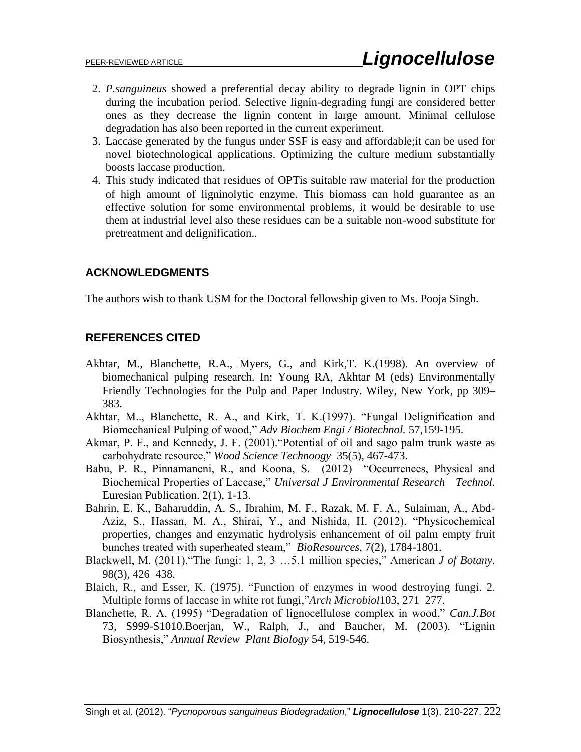- 2. *P.sanguineus* showed a preferential decay ability to degrade lignin in OPT chips during the incubation period. Selective lignin-degrading fungi are considered better ones as they decrease the lignin content in large amount. Minimal cellulose degradation has also been reported in the current experiment.
- 3. Laccase generated by the fungus under SSF is easy and affordable;it can be used for novel biotechnological applications. Optimizing the culture medium substantially boosts laccase production.
- 4. This study indicated that residues of OPTis suitable raw material for the production of high amount of ligninolytic enzyme. This biomass can hold guarantee as an effective solution for some environmental problems, it would be desirable to use them at industrial level also these residues can be a suitable non-wood substitute for pretreatment and delignification..

### **ACKNOWLEDGMENTS**

The authors wish to thank USM for the Doctoral fellowship given to Ms. Pooja Singh.

### **REFERENCES CITED**

- Akhtar, M., Blanchette, R.A., Myers, G., and Kirk,T. K.(1998). An overview of biomechanical pulping research. In: Young RA, Akhtar M (eds) Environmentally Friendly Technologies for the Pulp and Paper Industry. Wiley, New York, pp 309– 383.
- Akhtar, M.., Blanchette, R. A., and Kirk, T. K.(1997). "Fungal Delignification and Biomechanical Pulping of wood," *Adv Biochem Engi / Biotechnol.* 57,159-195.
- Akmar, P. F., and Kennedy, J. F. (2001)."Potential of oil and sago palm trunk waste as carbohydrate resource," *Wood Science Technoogy* 35(5), 467-473.
- Babu, P. R., Pinnamaneni, R., and Koona, S. (2012) "Occurrences, Physical and Biochemical Properties of Laccase," *Universal J Environmental Research Technol.*  Euresian Publication. 2(1), 1-13.
- Bahrin, E. K., Baharuddin, A. S., Ibrahim, M. F., Razak, M. F. A., Sulaiman, A., Abd-Aziz, S., Hassan, M. A., Shirai, Y., and Nishida, H. (2012). "Physicochemical properties, changes and enzymatic hydrolysis enhancement of oil palm empty fruit bunches treated with superheated steam," *BioResources,* 7(2), 1784-1801*.*
- Blackwell, M. (2011). "The fungi: 1, 2, 3 …5.1 million species," American *J of Botany*. 98(3), 426–438.
- Blaich, R., and Esser, K. (1975). "Function of enzymes in wood destroying fungi. 2. Multiple forms of laccase in white rot fungi,"*Arch Microbiol*103, 271–277.
- Blanchette, R. A. (1995) "Degradation of lignocellulose complex in wood," *Can.J.Bot* 73, S999-S1010.Boerjan, W., Ralph, J., and Baucher, M. (2003). "Lignin Biosynthesis," *Annual Review Plant Biology* 54, 519-546.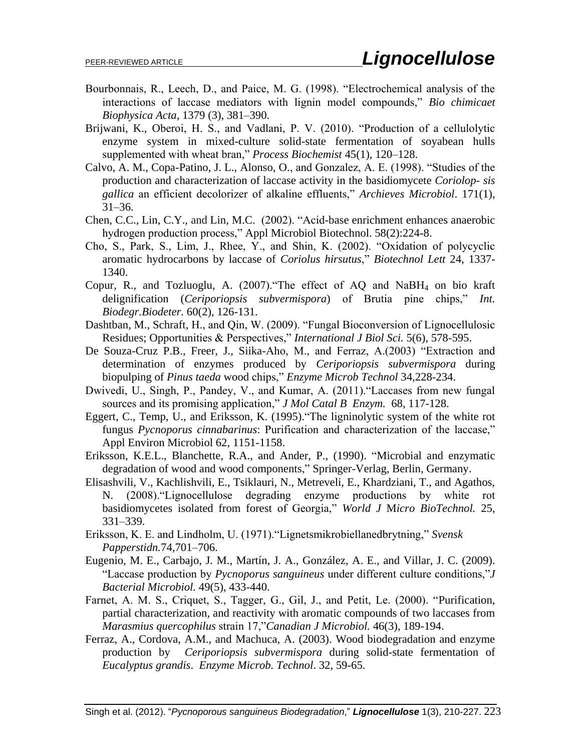- Bourbonnais, R., Leech, D., and Paice, M. G. (1998). "Electrochemical analysis of the interactions of laccase mediators with lignin model compounds," *Bio chimicaet Biophysica Acta*, 1379 (3), 381–390.
- Brijwani, K., Oberoi, H. S., and Vadlani, P. V. (2010). "Production of a cellulolytic enzyme system in mixed-culture solid-state fermentation of soyabean hulls supplemented with wheat bran," *Process Biochemist* 45(1), 120–128.
- Calvo, A. M., Copa-Patino, J. L., Alonso, O., and Gonzalez, A. E. (1998). "Studies of the production and characterization of laccase activity in the basidiomycete *Coriolop- sis gallica* an efficient decolorizer of alkaline effluents," *Archieves Microbiol*. 171(1), 31–36.
- [Chen,](http://www.ncbi.nlm.nih.gov/pubmed?term=Chen%20CC%5BAuthor%5D&cauthor=true&cauthor_uid=11876416) C.C., Lin, [C.Y.](http://www.ncbi.nlm.nih.gov/pubmed?term=Lin%20CY%5BAuthor%5D&cauthor=true&cauthor_uid=11876416), and Lin, [M.C.](http://www.ncbi.nlm.nih.gov/pubmed?term=Lin%20MC%5BAuthor%5D&cauthor=true&cauthor_uid=11876416) (2002). "Acid-base enrichment enhances anaerobic hydrogen production process," Appl Microbiol [Biotechnol.](http://www.ncbi.nlm.nih.gov/pubmed/11876416) 58(2):224-8.
- Cho, S., Park, S., Lim, J., Rhee, Y., and Shin, K. (2002). "Oxidation of polycyclic aromatic hydrocarbons by laccase of *Coriolus hirsutus*," *Biotechnol Lett* 24, 1337- 1340.
- Copur, R., and Tozluoglu, A. (2007)."The effect of AQ and NaBH<sup>4</sup> on bio kraft delignification (*Ceriporiopsis subvermispora*) of Brutia pine chips," *Int. Biodegr.Biodeter.* 60(2), 126-131.
- Dashtban, M., Schraft, H., and Qin, W. (2009). "Fungal Bioconversion of Lignocellulosic Residues; Opportunities & Perspectives," *International J Biol Sci.* 5(6)*,* 578-595.
- De Souza-Cruz P.B., Freer, J., Siika-Aho, M., and Ferraz, A.(2003) "Extraction and determination of enzymes produced by *Ceriporiopsis subvermispora* during biopulping of *Pinus taeda* wood chips," *Enzyme Microb Technol* 34,228-234.
- Dwivedi, U., Singh, P., Pandey, V., and Kumar, A. (2011)."Laccases from new fungal sources and its promising application," *J Mol Catal B Enzym.* 68, 117-128.
- Eggert, C., Temp, U., and Eriksson, K. (1995)."The ligninolytic system of the white rot fungus *Pycnoporus cinnabarinus*: Purification and characterization of the laccase," Appl Environ Microbiol 62, 1151-1158.
- Eriksson, K.E.L., Blanchette, R.A., and Ander, P., (1990). "Microbial and enzymatic degradation of wood and wood components," Springer-Verlag, Berlin, Germany.
- Elisashvili, V., Kachlishvili, E., Tsiklauri, N., Metreveli, E., Khardziani, T., and Agathos, N. (2008)."Lignocellulose degrading enzyme productions by white rot basidiomycetes isolated from forest of Georgia," *World J* M*icro BioTechnol.* 25, 331–339.
- Eriksson, K. E. and Lindholm, U. (1971)."Lignetsmikrobiellanedbrytning," *Svensk Papperstidn.*74,701–706.
- [Eugenio, M. E.](http://www.ncbi.nlm.nih.gov/pubmed?term=Eugenio%20ME%5BAuthor%5D&cauthor=true&cauthor_uid=19322835), [Carbajo, J. M.](http://www.ncbi.nlm.nih.gov/pubmed?term=Carbajo%20JM%5BAuthor%5D&cauthor=true&cauthor_uid=19322835), [Martín, J. A.](http://www.ncbi.nlm.nih.gov/pubmed?term=Mart%C3%ADn%20JA%5BAuthor%5D&cauthor=true&cauthor_uid=19322835), [González, A. E.](http://www.ncbi.nlm.nih.gov/pubmed?term=Gonz%C3%A1lez%20AE%5BAuthor%5D&cauthor=true&cauthor_uid=19322835), and [Villar, J. C.](http://www.ncbi.nlm.nih.gov/pubmed?term=Villar%20JC%5BAuthor%5D&cauthor=true&cauthor_uid=19322835) (2009). "Laccase production by *Pycnoporus sanguineus* under different culture conditions,"*J Bacterial Microbiol.* 49(5), 433-440.
- Farnet, A. M. S., Criquet, S., Tagger, G., Gil, J., and Petit, Le. (2000). "Purification, partial characterization, and reactivity with aromatic compounds of two laccases from *Marasmius quercophilus* strain 17,"*Canadian J Microbiol.* 46(3), 189-194.
- Ferraz, A., Cordova, A.M., and Machuca, A. (2003). Wood biodegradation and enzyme production by *Ceriporiopsis subvermispora* during solid-state fermentation of *Eucalyptus grandis*. *Enzyme Microb. Technol*. 32, 59-65.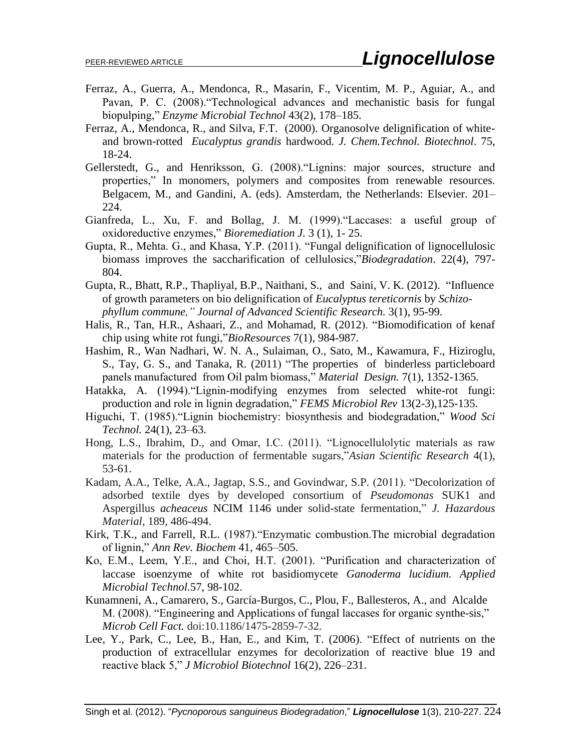- Ferraz, A., Guerra, A., Mendonca, R., Masarin, F., Vicentim, M. P., Aguiar, A., and Pavan, P. C. (2008)."Technological advances and mechanistic basis for fungal biopulping," *Enzyme Microbial Technol* 43(2), 178–185.
- Ferraz, A., Mendonca, R., and Silva, F.T. (2000). Organosolve delignification of whiteand brown-rotted *Eucalyptus grandis* hardwood. *J. Chem.Technol. Biotechnol*. 75, 18-24.
- Gellerstedt, G., and Henriksson, G. (2008)."Lignins: major sources, structure and properties," In monomers, polymers and composites from renewable resources. Belgacem, M., and Gandini, A. (eds). Amsterdam, the Netherlands: Elsevier. 201– 224.
- Gianfreda, L., Xu, F. and Bollag, J. M. (1999)."Laccases: a useful group of oxidoreductive enzymes," *Bioremediation J.* 3 (1), 1- 25.
- Gupta, R., Mehta. G., and Khasa, Y.P. (2011). "Fungal delignification of lignocellulosic biomass improves the saccharification of cellulosics,"*Biodegradation*. 22(4), 797- 804.
- Gupta, R., Bhatt, R.P., Thapliyal, B.P., Naithani, S., and Saini, V. K. (2012). "Influence of growth parameters on bio delignification of *Eucalyptus tereticornis* by *Schizophyllum commune," Journal of Advanced Scientific Research.* 3(1), 95-99.
- Halis, R., Tan, H.R., Ashaari, Z., and Mohamad, R. (2012). "Biomodification of kenaf chip using white rot fungi,"*BioResources* 7(1), 984-987.
- Hashim, R., Wan Nadhari, W. N. A., Sulaiman, O., Sato, M., Kawamura, F., Hiziroglu, S., Tay, G. S., and Tanaka, R. (2011) "The properties of binderless particleboard panels manufactured from Oil palm biomass," *Material Design.* 7(1), 1352-1365.
- Hatakka, A. (1994)."Lignin-modifying enzymes from selected white-rot fungi: production and role in lignin degradation," *FEMS Microbiol Rev* 13(2-3),125-135.
- Higuchi, T. (1985)."Lignin biochemistry: biosynthesis and biodegradation," *Wood Sci Technol.* 24(1), 23–63.
- Hong, L.S., Ibrahim, D., and Omar, I.C. (2011). "Lignocellulolytic materials as raw materials for the production of fermentable sugars,"*Asian Scientific Research* 4(1), 53-61.
- Kadam, A.A., Telke, A.A., Jagtap, S.S., and Govindwar, S.P. (2011). "Decolorization of adsorbed textile dyes by developed consortium of *Pseudomonas* SUK1 and Aspergillus *acheaceus* NCIM 1146 under solid-state fermentation," *J. Hazardous Material*, 189, 486-494.
- Kirk, T.K., and Farrell, R.L. (1987)."Enzymatic combustion.The microbial degradation of lignin," *Ann Rev. Biochem* 41, 465–505.
- Ko, E.M., Leem, Y.E., and Choi, H.T. (2001). "Purification and characterization of laccase isoenzyme of white rot basidiomycete *Ganoderma lucidium. Applied Microbial Technol.*57, 98-102.
- Kunamneni, A., Camarero, S., García-Burgos, C., Plou, F., Ballesteros, A., and Alcalde M. (2008). "Engineering and Applications of fungal laccases for organic synthe-sis," *Microb Cell Fact.* doi:10.1186/1475-2859-7-32.
- Lee, Y., Park, C., Lee, B., Han, E., and Kim, T. (2006). "Effect of nutrients on the production of extracellular enzymes for decolorization of reactive blue 19 and reactive black 5," *J Microbiol Biotechnol* 16(2), 226–231.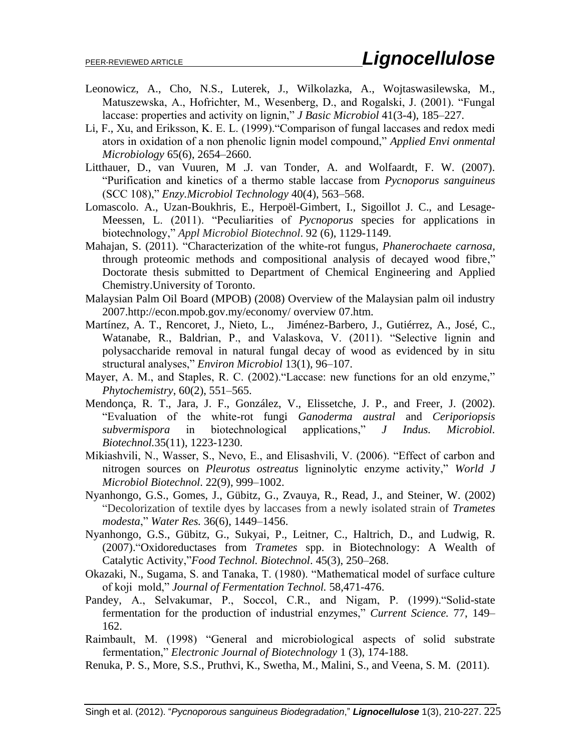- Leonowicz, A., Cho, N.S., Luterek, J., Wilkolazka, A., Wojtaswasilewska, M., Matuszewska, A., Hofrichter, M., Wesenberg, D., and Rogalski, J. (2001). "Fungal laccase: properties and activity on lignin," *J Basic Microbiol* 41(3-4), 185–227.
- Li, F., Xu, and Eriksson, K. E. L. (1999)."Comparison of fungal laccases and redox medi ators in oxidation of a non phenolic lignin model compound," *Applied Envi onmental Microbiology* 65(6), 2654–2660.
- Litthauer, D., van Vuuren, M .J. van Tonder, A. and Wolfaardt, F. W. (2007). "Purification and kinetics of a thermo stable laccase from *Pycnoporus sanguineus* (SCC 108)," *Enzy.Microbiol Technology* 40(4), 563–568.
- [Lomascolo. A.](http://www.ncbi.nlm.nih.gov/pubmed?term=Lomascolo%20A%5BAuthor%5D&cauthor=true&cauthor_uid=22038244), [Uzan-Boukhris, E.](http://www.ncbi.nlm.nih.gov/pubmed?term=Uzan-Boukhris%20E%5BAuthor%5D&cauthor=true&cauthor_uid=22038244), [Herpoël-Gimbert, I.](http://www.ncbi.nlm.nih.gov/pubmed?term=Herpo%C3%ABl-Gimbert%20I%5BAuthor%5D&cauthor=true&cauthor_uid=22038244), [Sigoillot J. C.](http://www.ncbi.nlm.nih.gov/pubmed?term=Sigoillot%20JC%5BAuthor%5D&cauthor=true&cauthor_uid=22038244), and [Lesage-](http://www.ncbi.nlm.nih.gov/pubmed?term=Lesage-Meessen%20L%5BAuthor%5D&cauthor=true&cauthor_uid=22038244)[Meessen, L.](http://www.ncbi.nlm.nih.gov/pubmed?term=Lesage-Meessen%20L%5BAuthor%5D&cauthor=true&cauthor_uid=22038244) (2011). "Peculiarities of *Pycnoporus* species for applications in biotechnology," *Appl Microbiol Biotechnol*. 92 (6), 1129-1149.
- Mahajan, S. (2011). "Characterization of the white-rot fungus, *Phanerochaete carnosa,*  through proteomic methods and compositional analysis of decayed wood fibre," Doctorate thesis submitted to Department of Chemical Engineering and Applied Chemistry.University of Toronto.
- Malaysian Palm Oil Board (MPOB) (2008) Overview of the Malaysian palm oil industry 2007[.http://econ.mpob.gov.my/economy/](http://econ.mpob.gov.my/economy/) overview 07.htm.
- Martínez, A. T., Rencoret, J., Nieto, L., Jiménez-Barbero, J., Gutiérrez, A., José, C., Watanabe, R., Baldrian, P., and Valaskova, V. (2011). "Selective lignin and polysaccharide removal in natural fungal decay of wood as evidenced by in situ structural analyses," *Environ Microbiol* 13(1), 96–107.
- Mayer, A. M., and Staples, R. C. (2002). "Laccase: new functions for an old enzyme," *Phytochemistry*, 60(2), 551–565.
- Mendonça, R. T., Jara, J. F., González, V., Elissetche, J. P., and Freer, J. (2002). "Evaluation of the white-rot fungi *Ganoderma austral* and *Ceriporiopsis subvermispora* in biotechnological applications," *J Indus. Microbiol. Biotechnol.*35(11), 1223-1230.
- Mikiashvili, N., Wasser, S., Nevo, E., and Elisashvili, V. (2006). "Effect of carbon and nitrogen sources on *Pleurotus ostreatus* ligninolytic enzyme activity," *World J Microbiol Biotechnol*. 22(9), 999–1002.
- Nyanhongo, G.S., Gomes, J., Gübitz, G., Zvauya, R., Read, J., and Steiner, W. (2002) "Decolorization of textile dyes by laccases from a newly isolated strain of *Trametes modesta*," *Water Res.* 36(6), 1449–1456.
- Nyanhongo, G.S., Gübitz, G., Sukyai, P., Leitner, C., Haltrich, D., and Ludwig, R. (2007)."Oxidoreductases from *Trametes* spp. in Biotechnology: A Wealth of Catalytic Activity,"*Food Technol. Biotechnol*. 45(3), 250–268.
- Okazaki, N., Sugama, S. and Tanaka, T. (1980). "Mathematical model of surface culture of koji mold," *Journal of Fermentation Technol.* 58,471-476.
- Pandey, A., Selvakumar, P., Soccol, C.R., and Nigam, P. (1999). Solid-state fermentation for the production of industrial enzymes," *Current Science.* 77, 149– 162.
- Raimbault, M. (1998) "General and microbiological aspects of solid substrate fermentation," *Electronic Journal of Biotechnology* 1 (3), 174-188.
- Renuka, P. S., More, S.S., Pruthvi, K., Swetha, M., Malini, S., and Veena, S. M. (2011).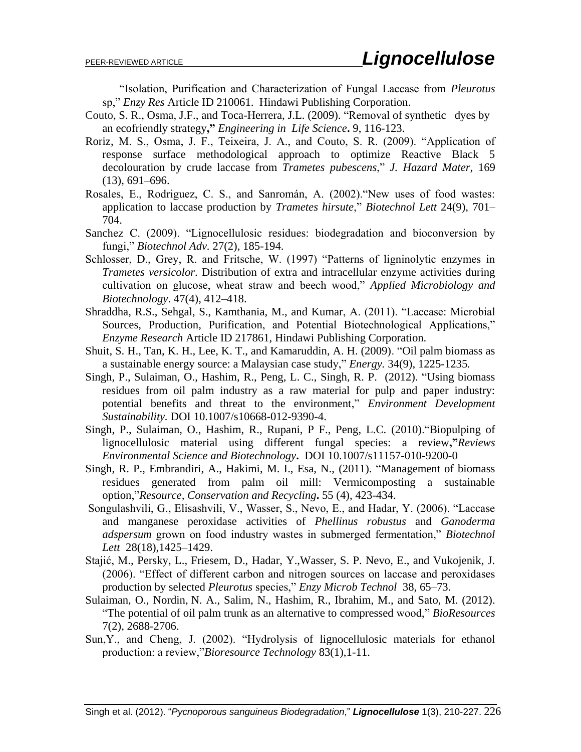"Isolation, Purification and Characterization of Fungal Laccase from *Pleurotus* sp," *Enzy Res* Article ID 210061. Hindawi Publishing Corporation.

- Couto, S. R., Osma, J.F., and Toca-Herrera, J.L. (2009). "Removal of synthetic dyes by an ecofriendly strategy**,"** *Engineering in Life Science***.** 9, 116-123.
- Roriz, M. S., Osma, J. F., Teixeira, J. A., and Couto, S. R. (2009). "Application of response surface methodological approach to optimize Reactive Black 5 decolouration by crude laccase from *Trametes pubescens*," *J. Hazard Mater,* 169 (13), 691–696.
- Rosales, E., Rodriguez, C. S., and Sanromán, A. (2002)."New uses of food wastes: application to laccase production by *Trametes hirsute*," *Biotechnol Lett* 24(9), 701– 704.
- Sanchez C. (2009). "Lignocellulosic residues: biodegradation and bioconversion by fungi," *Biotechnol Adv.* 27(2), 185-194.
- Schlosser, D., Grey, R. and Fritsche, W. (1997) "Patterns of ligninolytic enzymes in *Trametes versicolor*. Distribution of extra and intracellular enzyme activities during cultivation on glucose, wheat straw and beech wood," *Applied Microbiology and Biotechnology*. 47(4), 412–418.
- Shraddha, R.S., Sehgal, S., Kamthania, M., and Kumar, A. (2011). "Laccase: Microbial Sources, Production, Purification, and Potential Biotechnological Applications," *Enzyme Research* Article ID 217861, Hindawi Publishing Corporation.
- Shuit, S. H., Tan, K. H., Lee, K. T., and Kamaruddin, A. H. (2009). "Oil palm biomass as a sustainable energy source: a Malaysian case study," *Energy.* 34(9), 1225-1235*.*
- Singh, P., Sulaiman, O., Hashim, R., Peng, L. C., Singh, R. P. (2012). "Using biomass residues from oil palm industry as a raw material for pulp and paper industry: potential benefits and threat to the environment," *Environment Development Sustainability.* DOI 10.1007/s10668-012-9390-4.
- Singh, P., Sulaiman, O., Hashim, R., Rupani, P F., Peng, L.C. (2010)."Biopulping of lignocellulosic material using different fungal species: a review**,"***Reviews Environmental Science and Biotechnology***.** DOI 10.1007/s11157-010-9200-0
- Singh, R. P., Embrandiri, A., Hakimi, M. I., Esa, N., (2011). "Management of biomass residues generated from palm oil mill: Vermicomposting a sustainable option,"*Resource, Conservation and Recycling***.** 55 (4), 423-434.
- Songulashvili, G., Elisashvili, V., Wasser, S., Nevo, E., and Hadar, Y. (2006). "Laccase and manganese peroxidase activities of *Phellinus robustus* and *Ganoderma adspersum* grown on food industry wastes in submerged fermentation," *Biotechnol Lett* 28(18),1425–1429.
- Stajić, M., Persky, L., Friesem, D., Hadar, Y.,Wasser, S. P. Nevo, E., and Vukojenik, J. (2006). "Effect of different carbon and nitrogen sources on laccase and peroxidases production by selected *Pleurotus* species," *Enzy Microb Technol* 38, 65–73.
- Sulaiman, O., Nordin, N. A., Salim, N., Hashim, R., Ibrahim, M., and Sato, M. (2012). "The potential of oil palm trunk as an alternative to compressed wood," *BioResources* 7(2), 2688-2706.
- Sun,Y., and Cheng, J. (2002). "Hydrolysis of lignocellulosic materials for ethanol production: a review,"*Bioresource Technology* 83(1),1-11.